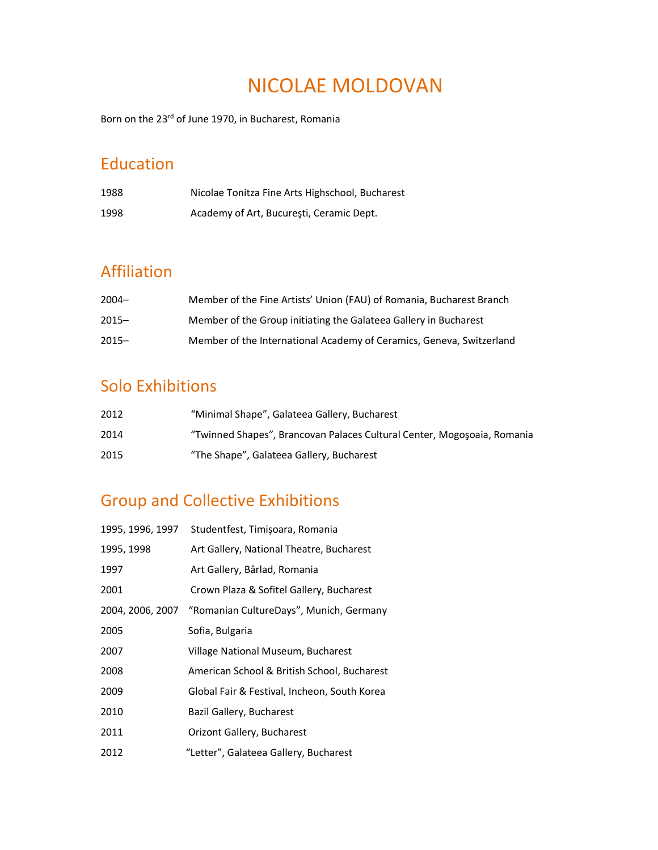# NICOLAE MOLDOVAN

Born on the 23<sup>rd</sup> of June 1970, in Bucharest, Romania

#### Education

| 1988 | Nicolae Tonitza Fine Arts Highschool, Bucharest |
|------|-------------------------------------------------|
| 1998 | Academy of Art, Bucuresti, Ceramic Dept.        |

#### Affiliation

| $2004 -$ | Member of the Fine Artists' Union (FAU) of Romania, Bucharest Branch |
|----------|----------------------------------------------------------------------|
| $2015 -$ | Member of the Group initiating the Galateea Gallery in Bucharest     |
| $2015 -$ | Member of the International Academy of Ceramics, Geneva, Switzerland |

#### Solo Exhibitions

| 2012 | "Minimal Shape", Galateea Gallery, Bucharest                            |
|------|-------------------------------------------------------------------------|
| 2014 | "Twinned Shapes", Brancovan Palaces Cultural Center, Mogosoaia, Romania |
| 2015 | "The Shape", Galateea Gallery, Bucharest                                |

## Group and Collective Exhibitions

| 1995, 1996, 1997 | Studentfest, Timișoara, Romania              |
|------------------|----------------------------------------------|
| 1995, 1998       | Art Gallery, National Theatre, Bucharest     |
| 1997             | Art Gallery, Bârlad, Romania                 |
| 2001             | Crown Plaza & Sofitel Gallery, Bucharest     |
| 2004, 2006, 2007 | "Romanian CultureDays", Munich, Germany      |
| 2005             | Sofia, Bulgaria                              |
| 2007             | Village National Museum, Bucharest           |
| 2008             | American School & British School, Bucharest  |
| 2009             | Global Fair & Festival, Incheon, South Korea |
| 2010             | Bazil Gallery, Bucharest                     |
| 2011             | Orizont Gallery, Bucharest                   |
| 2012             | "Letter", Galateea Gallery, Bucharest        |